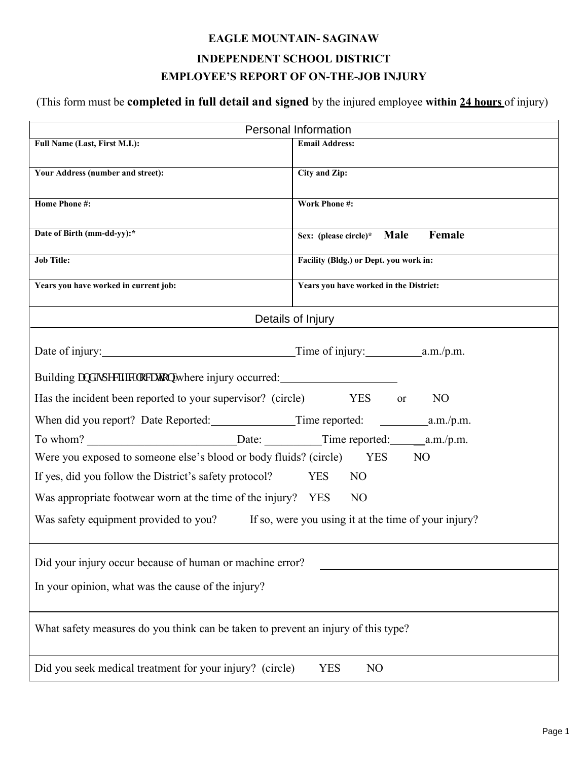## **EAGLE MOUNTAIN- SAGINAW INDEPENDENT SCHOOL DISTRICT EMPLOYEE'S REPORT OF ON-THE-JOB INJURY**

(This form must be **completed in full detail and signed** by the injured employee **within 24 hours** of injury)

| Personal Information                                                                       |                                        |
|--------------------------------------------------------------------------------------------|----------------------------------------|
| Full Name (Last, First M.I.):                                                              | <b>Email Address:</b>                  |
| Your Address (number and street):                                                          | City and Zip:                          |
|                                                                                            |                                        |
| <b>Home Phone#:</b>                                                                        | <b>Work Phone#:</b>                    |
|                                                                                            |                                        |
| Date of Birth (mm-dd-yy):*                                                                 | Female<br>Sex: (please circle)* Male   |
| <b>Job Title:</b>                                                                          | Facility (Bldg.) or Dept. you work in: |
| Years you have worked in current job:                                                      | Years you have worked in the District: |
| Details of Injury                                                                          |                                        |
|                                                                                            |                                        |
|                                                                                            |                                        |
| Building cpf "ur gelike" meckap "where injury occurred:                                    |                                        |
| Has the incident been reported to your supervisor? (circle) YES                            | N <sub>O</sub><br>or                   |
|                                                                                            |                                        |
|                                                                                            |                                        |
| Were you exposed to someone else's blood or body fluids? (circle) YES<br>NO                |                                        |
| If yes, did you follow the District's safety protocol?                                     | <b>YES</b><br>N <sub>O</sub>           |
| Was appropriate footwear worn at the time of the injury? YES                               | N <sub>O</sub>                         |
| Was safety equipment provided to you? If so, were you using it at the time of your injury? |                                        |
|                                                                                            |                                        |
| Did your injury occur because of human or machine error?                                   |                                        |
| In your opinion, what was the cause of the injury?                                         |                                        |
|                                                                                            |                                        |
| What safety measures do you think can be taken to prevent an injury of this type?          |                                        |
| Did you seek medical treatment for your injury? (circle)<br><b>YES</b><br>N <sub>O</sub>   |                                        |